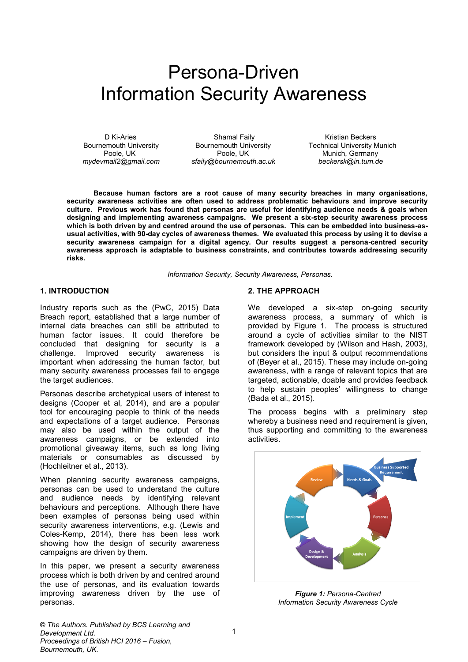# Persona-Driven Information Security Awareness

D Ki-Aries **Shamal Faily** Shamal Faily **Kristian Beckers** mydevmail2@gmail.com sfaily@bournemouth.ac.uk

Bournemouth University **Bournemouth University Bournemouth University Commercies** Technical University Munich<br>Poole, UK Munich, Germany Poole, UK **Poole, UK** Munich, Germany<br>
Nunremouth.ac.uk beckersk@in.tum.de

**Because human factors are a root cause of many security breaches in many organisations, security awareness activities are often used to address problematic behaviours and improve security culture. Previous work has found that personas are useful for identifying audience needs & goals when designing and implementing awareness campaigns. We present a six-step security awareness process which is both driven by and centred around the use of personas. This can be embedded into business-asusual activities, with 90-day cycles of awareness themes. We evaluated this process by using it to devise a security awareness campaign for a digital agency. Our results suggest a persona-centred security awareness approach is adaptable to business constraints, and contributes towards addressing security risks.**

*Information Security, Security Awareness, Personas.*

### **1. INTRODUCTION**

Industry reports such as the (PwC, 2015) Data Breach report, established that a large number of internal data breaches can still be attributed to human factor issues. It could therefore be concluded that designing for security is a challenge. Improved security awareness is important when addressing the human factor, but many security awareness processes fail to engage the target audiences.

Personas describe archetypical users of interest to designs (Cooper et al, 2014), and are a popular tool for encouraging people to think of the needs and expectations of a target audience. Personas may also be used within the output of the awareness campaigns, or be extended into promotional giveaway items, such as long living materials or consumables as discussed by (Hochleitner et al., 2013).

When planning security awareness campaigns, personas can be used to understand the culture and audience needs by identifying relevant behaviours and perceptions. Although there have been examples of personas being used within security awareness interventions, e.g. (Lewis and Coles-Kemp, 2014), there has been less work showing how the design of security awareness campaigns are driven by them.

In this paper, we present a security awareness process which is both driven by and centred around the use of personas, and its evaluation towards improving awareness driven by the use of personas.

#### **2. THE APPROACH**

We developed a six-step on-going security awareness process, a summary of which is provided by Figure 1. The process is structured around a cycle of activities similar to the NIST framework developed by (Wilson and Hash, 2003), but considers the input & output recommendations of (Beyer et al., 2015). These may include on-going awareness, with a range of relevant topics that are targeted, actionable, doable and provides feedback to help sustain peoples' willingness to change (Bada et al., 2015).

The process begins with a preliminary step whereby a business need and requirement is given, thus supporting and committing to the awareness activities.



*Figure 1: Persona-Centred Information Security Awareness Cycle*

© *The Authors. Published by BCS Learning and Development Ltd. Proceedings of British HCI 2016 – Fusion, Bournemouth, UK.*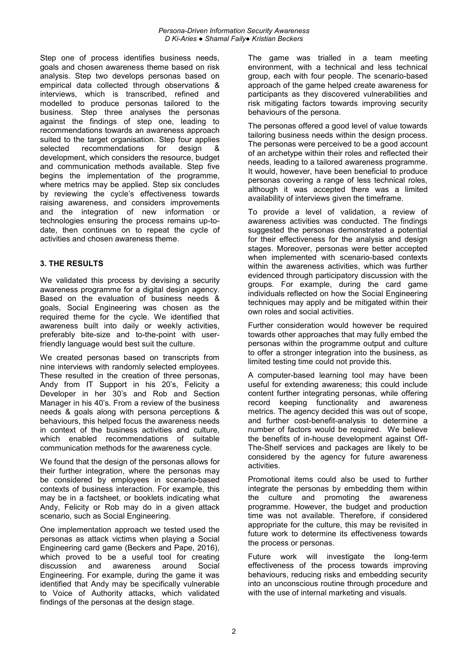Step one of process identifies business needs, goals and chosen awareness theme based on risk analysis. Step two develops personas based on empirical data collected through observations & interviews, which is transcribed, refined and modelled to produce personas tailored to the business. Step three analyses the personas against the findings of step one, leading to recommendations towards an awareness approach suited to the target organisation. Step four applies selected recommendations for design & development, which considers the resource, budget and communication methods available. Step five begins the implementation of the programme, where metrics may be applied. Step six concludes by reviewing the cycle's effectiveness towards raising awareness, and considers improvements and the integration of new information or technologies ensuring the process remains up-todate, then continues on to repeat the cycle of activities and chosen awareness theme.

## **3. THE RESULTS**

We validated this process by devising a security awareness programme for a digital design agency. Based on the evaluation of business needs & goals, Social Engineering was chosen as the required theme for the cycle. We identified that awareness built into daily or weekly activities, preferably bite-size and to-the-point with userfriendly language would best suit the culture.

We created personas based on transcripts from nine interviews with randomly selected employees. These resulted in the creation of three personas, Andy from IT Support in his 20's, Felicity a Developer in her 30's and Rob and Section Manager in his 40's. From a review of the business needs & goals along with persona perceptions & behaviours, this helped focus the awareness needs in context of the business activities and culture, which enabled recommendations of suitable communication methods for the awareness cycle.

We found that the design of the personas allows for their further integration, where the personas may be considered by employees in scenario-based contexts of business interaction. For example, this may be in a factsheet, or booklets indicating what Andy, Felicity or Rob may do in a given attack scenario, such as Social Engineering.

One implementation approach we tested used the personas as attack victims when playing a Social Engineering card game (Beckers and Pape, 2016), which proved to be a useful tool for creating<br>discussion and awareness around Social discussion and awareness around Social Engineering. For example, during the game it was identified that Andy may be specifically vulnerable to Voice of Authority attacks, which validated findings of the personas at the design stage.

The game was trialled in a team meeting environment, with a technical and less technical group, each with four people. The scenario-based approach of the game helped create awareness for participants as they discovered vulnerabilities and risk mitigating factors towards improving security behaviours of the persona.

The personas offered a good level of value towards tailoring business needs within the design process. The personas were perceived to be a good account of an archetype within their roles and reflected their needs, leading to a tailored awareness programme. It would, however, have been beneficial to produce personas covering a range of less technical roles, although it was accepted there was a limited availability of interviews given the timeframe.

To provide a level of validation, a review of awareness activities was conducted. The findings suggested the personas demonstrated a potential for their effectiveness for the analysis and design stages. Moreover, personas were better accepted when implemented with scenario-based contexts within the awareness activities, which was further evidenced through participatory discussion with the groups. For example, during the card game individuals reflected on how the Social Engineering techniques may apply and be mitigated within their own roles and social activities.

Further consideration would however be required towards other approaches that may fully embed the personas within the programme output and culture to offer a stronger integration into the business, as limited testing time could not provide this.

A computer-based learning tool may have been useful for extending awareness; this could include content further integrating personas, while offering record keeping functionality and awareness metrics. The agency decided this was out of scope, and further cost-benefit-analysis to determine a number of factors would be required. We believe the benefits of in-house development against Off-The-Shelf services and packages are likely to be considered by the agency for future awareness activities.

Promotional items could also be used to further integrate the personas by embedding them within the culture and promoting the awareness programme. However, the budget and production time was not available. Therefore, if considered appropriate for the culture, this may be revisited in future work to determine its effectiveness towards the process or personas.

Future work will investigate the long-term effectiveness of the process towards improving behaviours, reducing risks and embedding security into an unconscious routine through procedure and with the use of internal marketing and visuals.